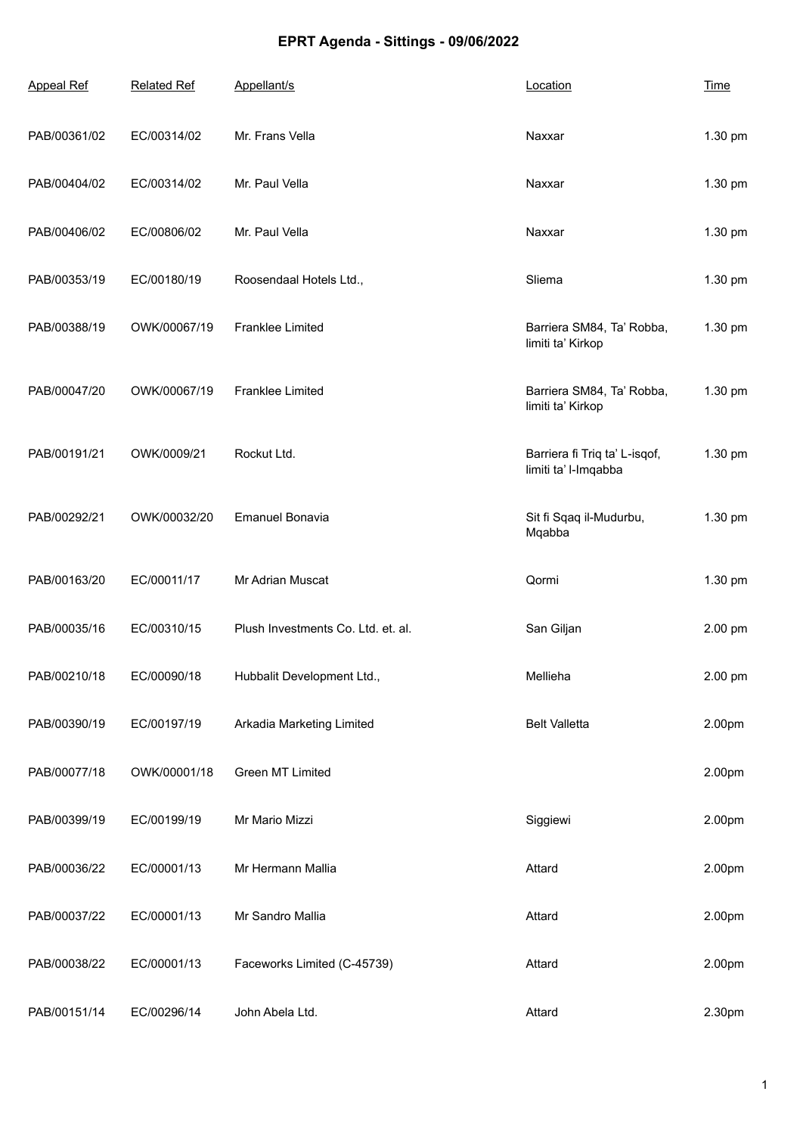## **EPRT Agenda - Sittings - 09/06/2022**

| <b>Appeal Ref</b> | <b>Related Ref</b> | Appellant/s                        | Location                                              | <b>Time</b> |
|-------------------|--------------------|------------------------------------|-------------------------------------------------------|-------------|
| PAB/00361/02      | EC/00314/02        | Mr. Frans Vella                    | Naxxar                                                | 1.30 pm     |
| PAB/00404/02      | EC/00314/02        | Mr. Paul Vella                     | Naxxar                                                | 1.30 pm     |
| PAB/00406/02      | EC/00806/02        | Mr. Paul Vella                     | Naxxar                                                | 1.30 pm     |
| PAB/00353/19      | EC/00180/19        | Roosendaal Hotels Ltd.,            | Sliema                                                | 1.30 pm     |
| PAB/00388/19      | OWK/00067/19       | Franklee Limited                   | Barriera SM84, Ta' Robba,<br>limiti ta' Kirkop        | 1.30 pm     |
| PAB/00047/20      | OWK/00067/19       | Franklee Limited                   | Barriera SM84, Ta' Robba,<br>limiti ta' Kirkop        | 1.30 pm     |
| PAB/00191/21      | OWK/0009/21        | Rockut Ltd.                        | Barriera fi Triq ta' L-isqof,<br>limiti ta' l-Imqabba | 1.30 pm     |
| PAB/00292/21      | OWK/00032/20       | <b>Emanuel Bonavia</b>             | Sit fi Sqaq il-Mudurbu,<br>Mqabba                     | 1.30 pm     |
| PAB/00163/20      | EC/00011/17        | Mr Adrian Muscat                   | Qormi                                                 | 1.30 pm     |
| PAB/00035/16      | EC/00310/15        | Plush Investments Co. Ltd. et. al. | San Giljan                                            | 2.00 pm     |
| PAB/00210/18      | EC/00090/18        | Hubbalit Development Ltd.,         | Mellieha                                              | 2.00 pm     |
| PAB/00390/19      | EC/00197/19        | Arkadia Marketing Limited          | <b>Belt Valletta</b>                                  | 2.00pm      |
| PAB/00077/18      | OWK/00001/18       | Green MT Limited                   |                                                       | 2.00pm      |
| PAB/00399/19      | EC/00199/19        | Mr Mario Mizzi                     | Siggiewi                                              | 2.00pm      |
| PAB/00036/22      | EC/00001/13        | Mr Hermann Mallia                  | Attard                                                | 2.00pm      |
| PAB/00037/22      | EC/00001/13        | Mr Sandro Mallia                   | Attard                                                | 2.00pm      |
| PAB/00038/22      | EC/00001/13        | Faceworks Limited (C-45739)        | Attard                                                | 2.00pm      |
| PAB/00151/14      | EC/00296/14        | John Abela Ltd.                    | Attard                                                | 2.30pm      |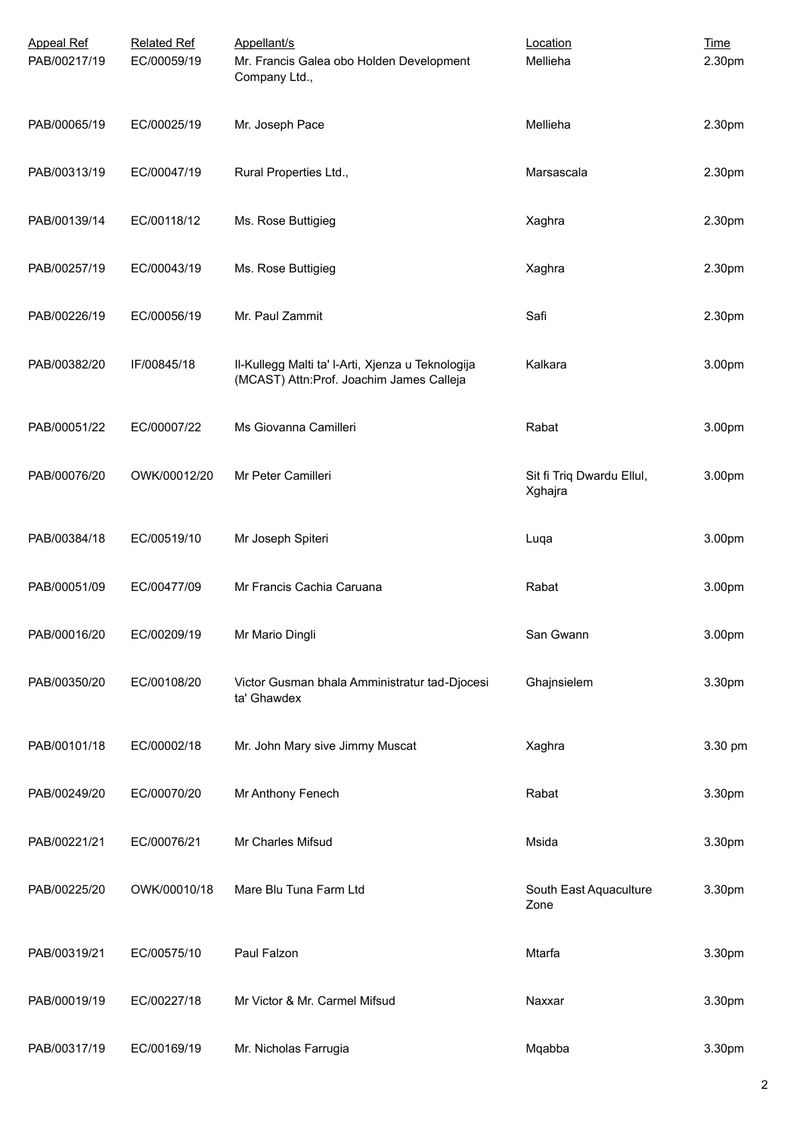| <b>Appeal Ref</b><br>PAB/00217/19 | <b>Related Ref</b><br>EC/00059/19 | Appellant/s<br>Mr. Francis Galea obo Holden Development<br>Company Ltd.,                      | Location<br>Mellieha                 | <b>Time</b><br>2.30pm |
|-----------------------------------|-----------------------------------|-----------------------------------------------------------------------------------------------|--------------------------------------|-----------------------|
| PAB/00065/19                      | EC/00025/19                       | Mr. Joseph Pace                                                                               | Mellieha                             | 2.30pm                |
| PAB/00313/19                      | EC/00047/19                       | Rural Properties Ltd.,                                                                        | Marsascala                           | 2.30pm                |
| PAB/00139/14                      | EC/00118/12                       | Ms. Rose Buttigieg                                                                            | Xaghra                               | 2.30pm                |
| PAB/00257/19                      | EC/00043/19                       | Ms. Rose Buttigieg                                                                            | Xaghra                               | 2.30pm                |
| PAB/00226/19                      | EC/00056/19                       | Mr. Paul Zammit                                                                               | Safi                                 | 2.30pm                |
| PAB/00382/20                      | IF/00845/18                       | II-Kullegg Malti ta' I-Arti, Xjenza u Teknologija<br>(MCAST) Attn:Prof. Joachim James Calleja | Kalkara                              | 3.00pm                |
| PAB/00051/22                      | EC/00007/22                       | Ms Giovanna Camilleri                                                                         | Rabat                                | 3.00pm                |
| PAB/00076/20                      | OWK/00012/20                      | Mr Peter Camilleri                                                                            | Sit fi Triq Dwardu Ellul,<br>Xghajra | 3.00pm                |
| PAB/00384/18                      | EC/00519/10                       | Mr Joseph Spiteri                                                                             | Luqa                                 | 3.00pm                |
| PAB/00051/09                      | EC/00477/09                       | Mr Francis Cachia Caruana                                                                     | Rabat                                | 3.00pm                |
| PAB/00016/20                      | EC/00209/19                       | Mr Mario Dingli                                                                               | San Gwann                            | 3.00pm                |
| PAB/00350/20                      | EC/00108/20                       | Victor Gusman bhala Amministratur tad-Djocesi<br>ta' Ghawdex                                  | Ghajnsielem                          | 3.30pm                |
| PAB/00101/18                      | EC/00002/18                       | Mr. John Mary sive Jimmy Muscat                                                               | Xaghra                               | 3.30 pm               |
| PAB/00249/20                      | EC/00070/20                       | Mr Anthony Fenech                                                                             | Rabat                                | 3.30pm                |
| PAB/00221/21                      | EC/00076/21                       | Mr Charles Mifsud                                                                             | Msida                                | 3.30pm                |
| PAB/00225/20                      | OWK/00010/18                      | Mare Blu Tuna Farm Ltd                                                                        | South East Aquaculture<br>Zone       | 3.30pm                |
| PAB/00319/21                      | EC/00575/10                       | Paul Falzon                                                                                   | Mtarfa                               | 3.30pm                |
| PAB/00019/19                      | EC/00227/18                       | Mr Victor & Mr. Carmel Mifsud                                                                 | Naxxar                               | 3.30pm                |
| PAB/00317/19                      | EC/00169/19                       | Mr. Nicholas Farrugia                                                                         | Mqabba                               | 3.30pm                |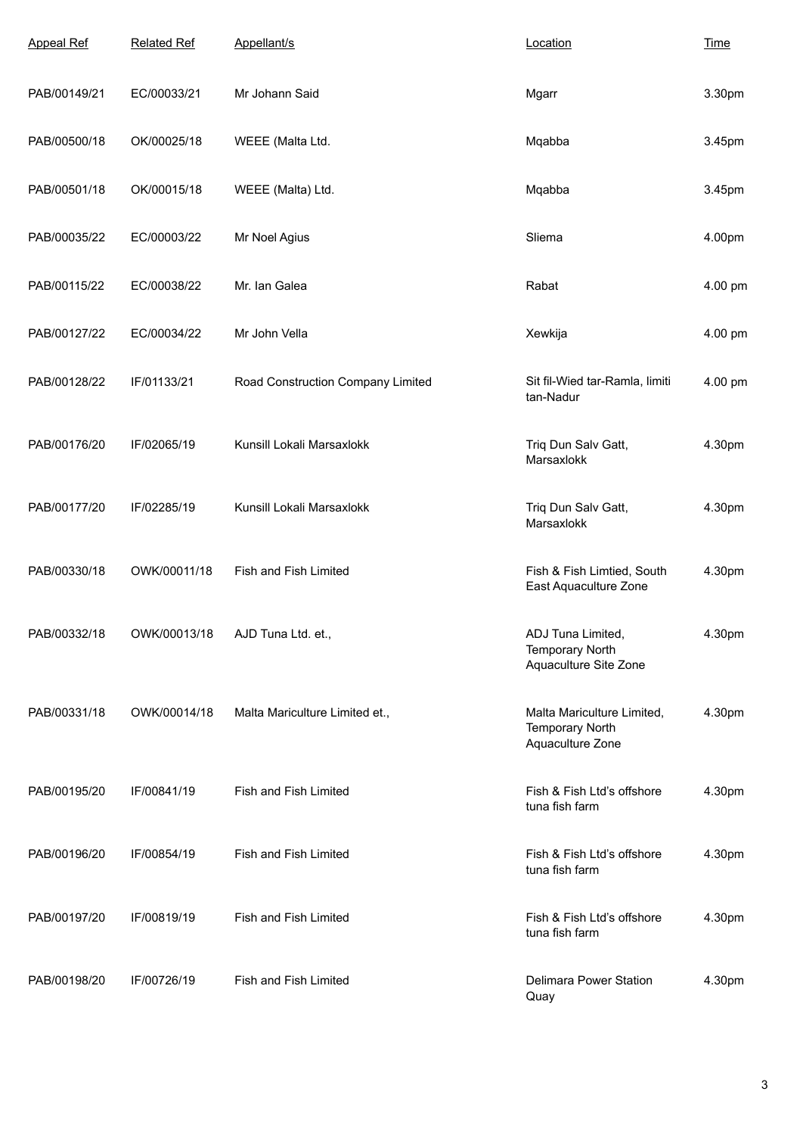| <b>Appeal Ref</b> | <b>Related Ref</b> | Appellant/s                       | Location                                                                 | <b>Time</b> |
|-------------------|--------------------|-----------------------------------|--------------------------------------------------------------------------|-------------|
| PAB/00149/21      | EC/00033/21        | Mr Johann Said                    | Mgarr                                                                    | 3.30pm      |
| PAB/00500/18      | OK/00025/18        | WEEE (Malta Ltd.                  | Mqabba                                                                   | 3.45pm      |
| PAB/00501/18      | OK/00015/18        | WEEE (Malta) Ltd.                 | Mqabba                                                                   | 3.45pm      |
| PAB/00035/22      | EC/00003/22        | Mr Noel Agius                     | Sliema                                                                   | 4.00pm      |
| PAB/00115/22      | EC/00038/22        | Mr. Ian Galea                     | Rabat                                                                    | 4.00 pm     |
| PAB/00127/22      | EC/00034/22        | Mr John Vella                     | Xewkija                                                                  | 4.00 pm     |
| PAB/00128/22      | IF/01133/21        | Road Construction Company Limited | Sit fil-Wied tar-Ramla, limiti<br>tan-Nadur                              | 4.00 pm     |
| PAB/00176/20      | IF/02065/19        | Kunsill Lokali Marsaxlokk         | Triq Dun Salv Gatt,<br>Marsaxlokk                                        | 4.30pm      |
| PAB/00177/20      | IF/02285/19        | Kunsill Lokali Marsaxlokk         | Triq Dun Salv Gatt,<br>Marsaxlokk                                        | 4.30pm      |
| PAB/00330/18      | OWK/00011/18       | Fish and Fish Limited             | Fish & Fish Limtied, South<br>East Aquaculture Zone                      | 4.30pm      |
| PAB/00332/18      | OWK/00013/18       | AJD Tuna Ltd. et.                 | ADJ Tuna Limited<br><b>Temporary North</b><br>Aquaculture Site Zone      | 4.30pm      |
| PAB/00331/18      | OWK/00014/18       | Malta Mariculture Limited et.,    | Malta Mariculture Limited,<br><b>Temporary North</b><br>Aquaculture Zone | 4.30pm      |
| PAB/00195/20      | IF/00841/19        | Fish and Fish Limited             | Fish & Fish Ltd's offshore<br>tuna fish farm                             | 4.30pm      |
| PAB/00196/20      | IF/00854/19        | Fish and Fish Limited             | Fish & Fish Ltd's offshore<br>tuna fish farm                             | 4.30pm      |
| PAB/00197/20      | IF/00819/19        | Fish and Fish Limited             | Fish & Fish Ltd's offshore<br>tuna fish farm                             | 4.30pm      |
| PAB/00198/20      | IF/00726/19        | Fish and Fish Limited             | Delimara Power Station<br>Quay                                           | 4.30pm      |